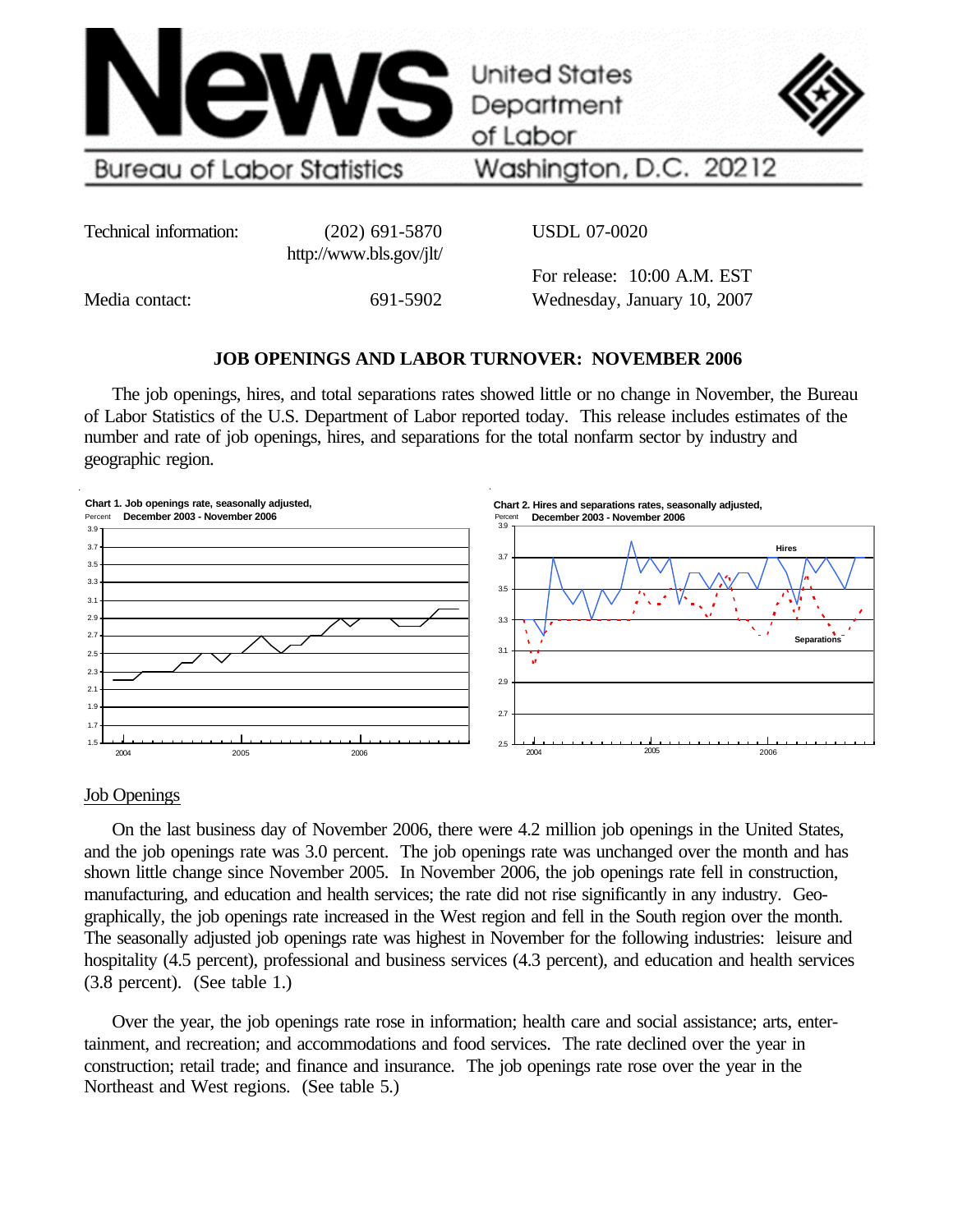

Technical information: (202) 691-5870

http://www.bls.gov/jlt/

USDL 07-0020

Media contact: 691-5902

For release: 10:00 A.M. EST Wednesday, January 10, 2007

# **JOB OPENINGS AND LABOR TURNOVER: NOVEMBER 2006**

The job openings, hires, and total separations rates showed little or no change in November, the Bureau of Labor Statistics of the U.S. Department of Labor reported today. This release includes estimates of the number and rate of job openings, hires, and separations for the total nonfarm sector by industry and geographic region.



## Job Openings

On the last business day of November 2006, there were 4.2 million job openings in the United States, and the job openings rate was 3.0 percent. The job openings rate was unchanged over the month and has shown little change since November 2005. In November 2006, the job openings rate fell in construction, manufacturing, and education and health services; the rate did not rise significantly in any industry. Geographically, the job openings rate increased in the West region and fell in the South region over the month. The seasonally adjusted job openings rate was highest in November for the following industries: leisure and hospitality (4.5 percent), professional and business services (4.3 percent), and education and health services (3.8 percent). (See table 1.)

Over the year, the job openings rate rose in information; health care and social assistance; arts, entertainment, and recreation; and accommodations and food services. The rate declined over the year in construction; retail trade; and finance and insurance. The job openings rate rose over the year in the Northeast and West regions. (See table 5.)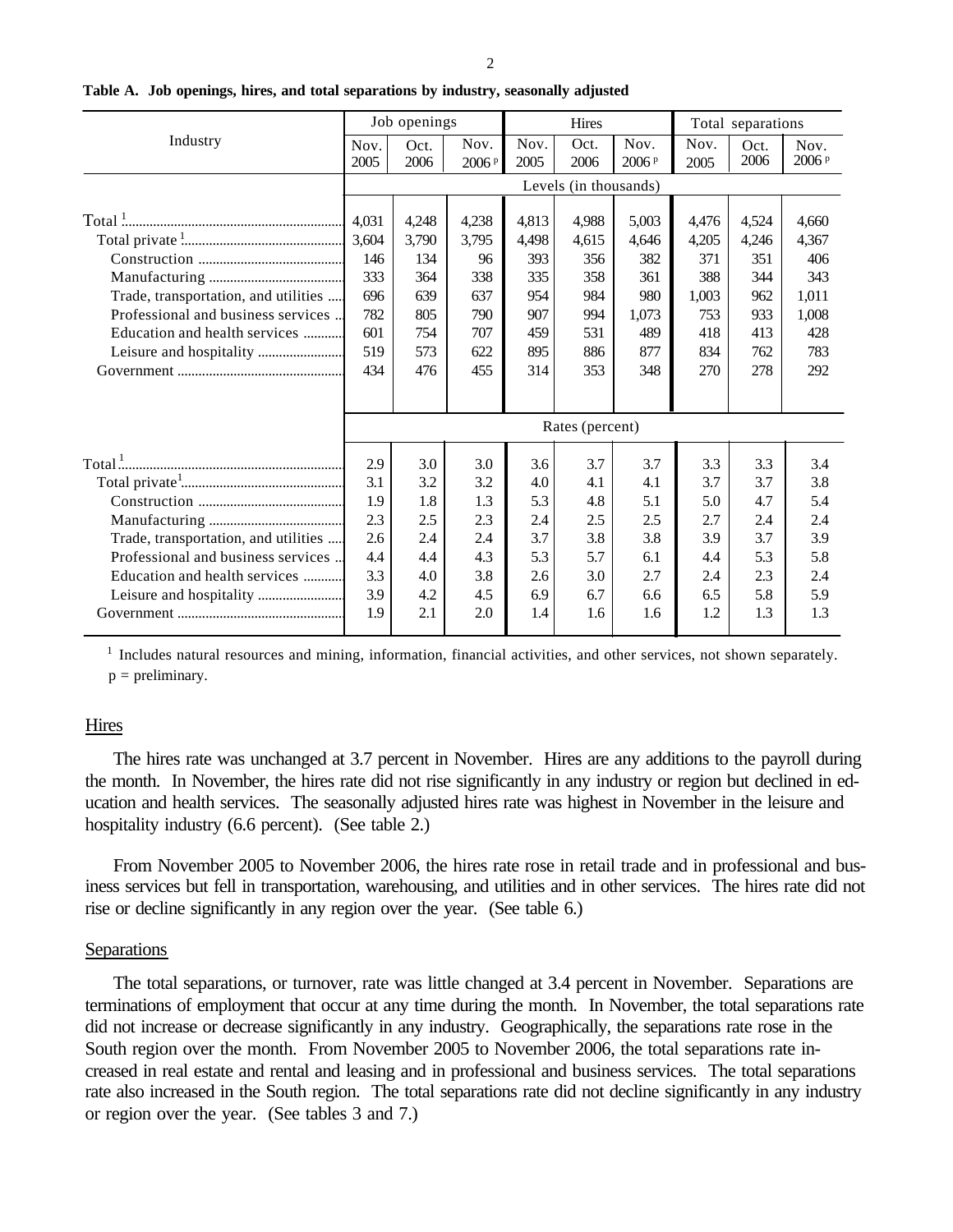| ٠<br>۰, |  |
|---------|--|
|         |  |

|                                      |              | Job openings |                           |              | Hires                 |                           | Total separations |              |               |
|--------------------------------------|--------------|--------------|---------------------------|--------------|-----------------------|---------------------------|-------------------|--------------|---------------|
| Industry                             | Nov.<br>2005 | Oct.<br>2006 | Nov.<br>2006 <sup>p</sup> | Nov.<br>2005 | Oct.<br>2006          | Nov.<br>2006 <sup>p</sup> | Nov.<br>2005      | Oct.<br>2006 | Nov.<br>2006P |
|                                      |              |              |                           |              | Levels (in thousands) |                           |                   |              |               |
|                                      | 4,031        | 4,248        | 4,238                     | 4,813        | 4,988                 | 5,003                     | 4,476             | 4,524        | 4,660         |
|                                      | 3,604        | 3,790        | 3,795                     | 4,498        | 4,615                 | 4,646                     | 4,205             | 4,246        | 4,367         |
|                                      | 146          | 134          | 96                        | 393          | 356                   | 382                       | 371               | 351          | 406           |
|                                      | 333          | 364          | 338                       | 335          | 358                   | 361                       | 388               | 344          | 343           |
| Trade, transportation, and utilities | 696          | 639          | 637                       | 954          | 984                   | 980                       | 1,003             | 962          | 1,011         |
| Professional and business services   | 782          | 805          | 790                       | 907          | 994                   | 1,073                     | 753               | 933          | 1,008         |
| Education and health services        | 601          | 754          | 707                       | 459          | 531                   | 489                       | 418               | 413          | 428           |
|                                      | 519          | 573          | 622                       | 895          | 886                   | 877                       | 834               | 762          | 783           |
|                                      | 434          | 476          | 455                       | 314          | 353                   | 348                       | 270               | 278          | 292           |
|                                      |              |              |                           |              |                       |                           |                   |              |               |
|                                      |              |              |                           |              | Rates (percent)       |                           |                   |              |               |
|                                      | 2.9          | 3.0          | 3.0                       | 3.6          | 3.7                   | 3.7                       | 3.3               | 3.3          | 3.4           |
|                                      | 3.1          | 3.2          | 3.2                       | 4.0          | 4.1                   | 4.1                       | 3.7               | 3.7          | 3.8           |
|                                      | 1.9          | 1.8          | 1.3                       | 5.3          | 4.8                   | 5.1                       | 5.0               | 4.7          | 5.4           |
|                                      | 2.3          | 2.5          | 2.3                       | 2.4          | 2.5                   | 2.5                       | 2.7               | 2.4          | 2.4           |
| Trade, transportation, and utilities | 2.6          | 2.4          | 2.4                       | 3.7          | 3.8                   | 3.8                       | 3.9               | 3.7          | 3.9           |
| Professional and business services   | 4.4          | 4.4          | 4.3                       | 5.3          | 5.7                   | 6.1                       | 4.4               | 5.3          | 5.8           |
| Education and health services        | 3.3          | 4.0          | 3.8                       | 2.6          | 3.0                   | 2.7                       | 2.4               | 2.3          | 2.4           |
| Leisure and hospitality              | 3.9          | 4.2          | 4.5                       | 6.9          | 6.7                   | 6.6                       | 6.5               | 5.8          | 5.9           |
|                                      | 1.9          | 2.1          | 2.0                       | 1.4          | 1.6                   | 1.6                       | 1.2               | 1.3          | 1.3           |

**Table A. Job openings, hires, and total separations by industry, seasonally adjusted**

<sup>1</sup> Includes natural resources and mining, information, financial activities, and other services, not shown separately.  $p =$  preliminary.

## Hires

The hires rate was unchanged at 3.7 percent in November. Hires are any additions to the payroll during the month. In November, the hires rate did not rise significantly in any industry or region but declined in education and health services. The seasonally adjusted hires rate was highest in November in the leisure and hospitality industry (6.6 percent). (See table 2.)

From November 2005 to November 2006, the hires rate rose in retail trade and in professional and business services but fell in transportation, warehousing, and utilities and in other services. The hires rate did not rise or decline significantly in any region over the year. (See table 6.)

## Separations

The total separations, or turnover, rate was little changed at 3.4 percent in November. Separations are terminations of employment that occur at any time during the month. In November, the total separations rate did not increase or decrease significantly in any industry. Geographically, the separations rate rose in the South region over the month. From November 2005 to November 2006, the total separations rate increased in real estate and rental and leasing and in professional and business services. The total separations rate also increased in the South region. The total separations rate did not decline significantly in any industry or region over the year. (See tables 3 and 7.)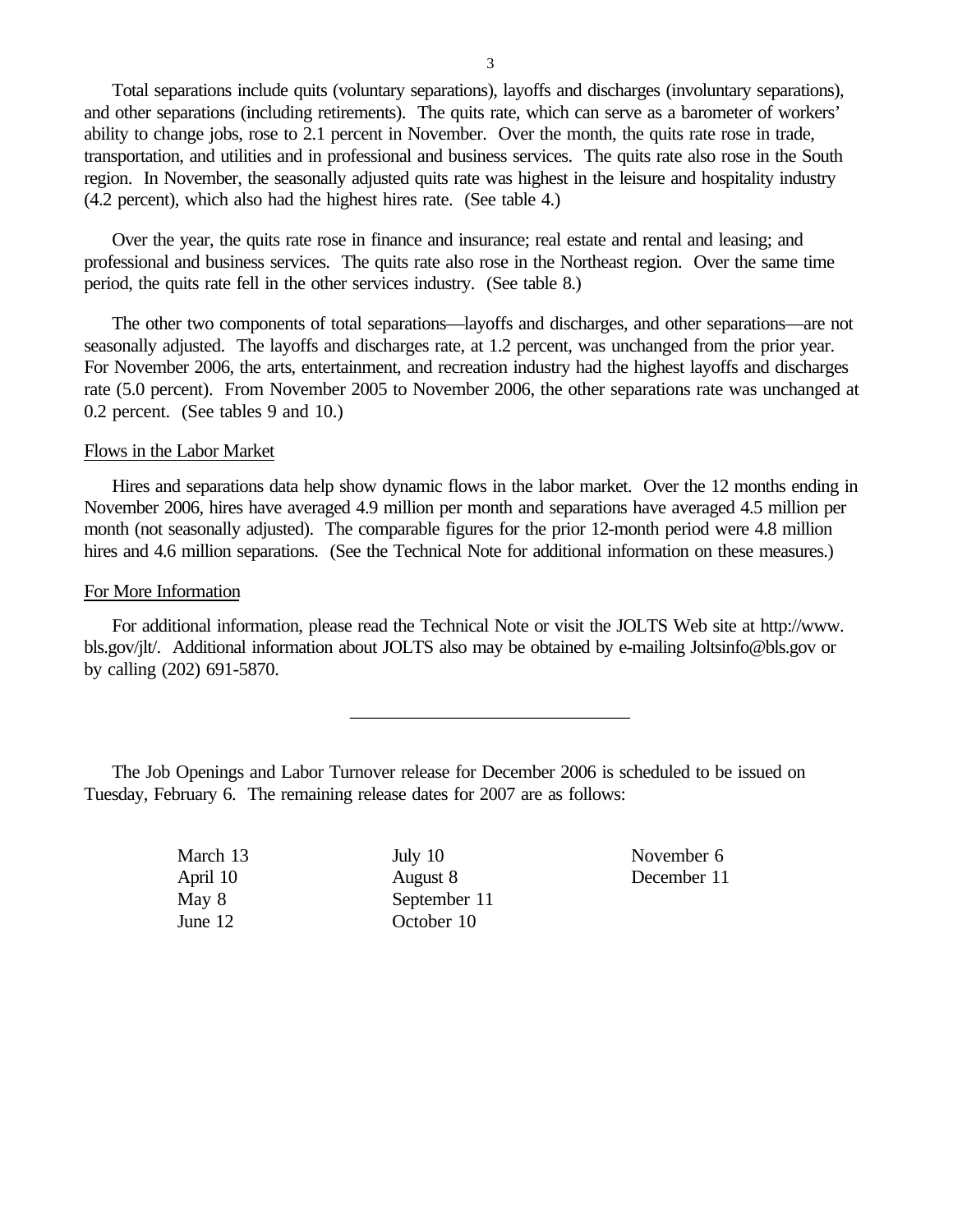Total separations include quits (voluntary separations), layoffs and discharges (involuntary separations), and other separations (including retirements). The quits rate, which can serve as a barometer of workers' ability to change jobs, rose to 2.1 percent in November. Over the month, the quits rate rose in trade, transportation, and utilities and in professional and business services. The quits rate also rose in the South region. In November, the seasonally adjusted quits rate was highest in the leisure and hospitality industry (4.2 percent), which also had the highest hires rate. (See table 4.)

Over the year, the quits rate rose in finance and insurance; real estate and rental and leasing; and professional and business services. The quits rate also rose in the Northeast region. Over the same time period, the quits rate fell in the other services industry. (See table 8.)

The other two components of total separations—layoffs and discharges, and other separations—are not seasonally adjusted. The layoffs and discharges rate, at 1.2 percent, was unchanged from the prior year. For November 2006, the arts, entertainment, and recreation industry had the highest layoffs and discharges rate (5.0 percent). From November 2005 to November 2006, the other separations rate was unchanged at 0.2 percent. (See tables 9 and 10.)

## Flows in the Labor Market

Hires and separations data help show dynamic flows in the labor market. Over the 12 months ending in November 2006, hires have averaged 4.9 million per month and separations have averaged 4.5 million per month (not seasonally adjusted). The comparable figures for the prior 12-month period were 4.8 million hires and 4.6 million separations. (See the Technical Note for additional information on these measures.)

## For More Information

For additional information, please read the Technical Note or visit the JOLTS Web site at http://www. bls.gov/jlt/. Additional information about JOLTS also may be obtained by e-mailing Joltsinfo@bls.gov or by calling (202) 691-5870.

\_\_\_\_\_\_\_\_\_\_\_\_\_\_\_\_\_\_\_\_\_\_\_\_\_\_\_\_\_\_

The Job Openings and Labor Turnover release for December 2006 is scheduled to be issued on Tuesday, February 6. The remaining release dates for 2007 are as follows:

> March 13 July 10 November 6 April 10 August 8 December 11 May 8 September 11 June 12 October 10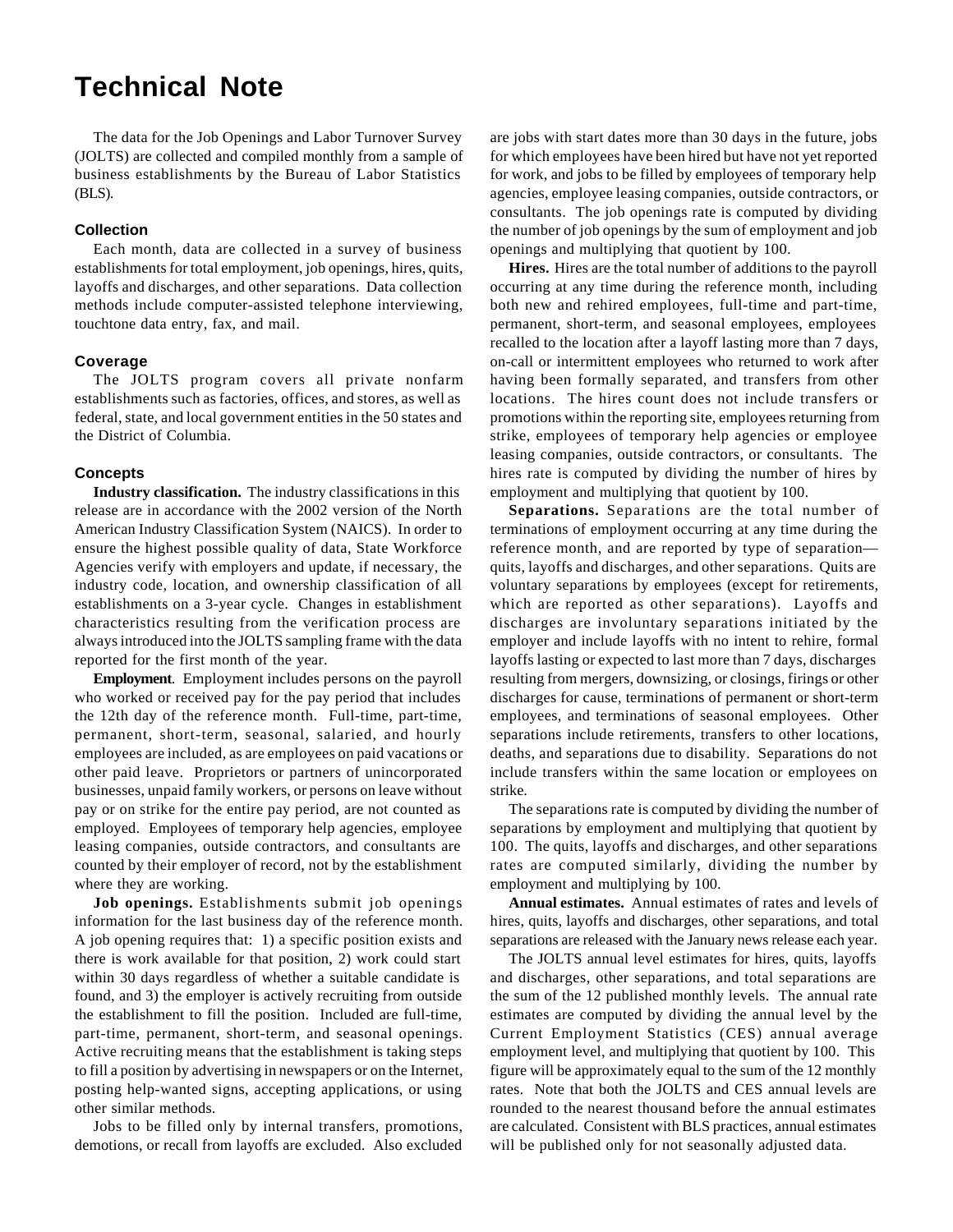# **Technical Note**

The data for the Job Openings and Labor Turnover Survey (JOLTS) are collected and compiled monthly from a sample of business establishments by the Bureau of Labor Statistics (BLS).

#### **Collection**

Each month, data are collected in a survey of business establishments for total employment, job openings, hires, quits, layoffs and discharges, and other separations. Data collection methods include computer-assisted telephone interviewing, touchtone data entry, fax, and mail.

#### **Coverage**

The JOLTS program covers all private nonfarm establishments such as factories, offices, and stores, as well as federal, state, and local government entities in the 50 states and the District of Columbia.

#### **Concepts**

**Industry classification.** The industry classifications in this release are in accordance with the 2002 version of the North American Industry Classification System (NAICS). In order to ensure the highest possible quality of data, State Workforce Agencies verify with employers and update, if necessary, the industry code, location, and ownership classification of all establishments on a 3-year cycle. Changes in establishment characteristics resulting from the verification process are always introduced into the JOLTS sampling frame with the data reported for the first month of the year.

**Employment**. Employment includes persons on the payroll who worked or received pay for the pay period that includes the 12th day of the reference month. Full-time, part-time, permanent, short-term, seasonal, salaried, and hourly employees are included, as are employees on paid vacations or other paid leave. Proprietors or partners of unincorporated businesses, unpaid family workers, or persons on leave without pay or on strike for the entire pay period, are not counted as employed. Employees of temporary help agencies, employee leasing companies, outside contractors, and consultants are counted by their employer of record, not by the establishment where they are working.

**Job openings.** Establishments submit job openings information for the last business day of the reference month. A job opening requires that: 1) a specific position exists and there is work available for that position, 2) work could start within 30 days regardless of whether a suitable candidate is found, and 3) the employer is actively recruiting from outside the establishment to fill the position. Included are full-time, part-time, permanent, short-term, and seasonal openings. Active recruiting means that the establishment is taking steps to fill a position by advertising in newspapers or on the Internet, posting help-wanted signs, accepting applications, or using other similar methods.

Jobs to be filled only by internal transfers, promotions, demotions, or recall from layoffs are excluded. Also excluded are jobs with start dates more than 30 days in the future, jobs for which employees have been hired but have not yet reported for work, and jobs to be filled by employees of temporary help agencies, employee leasing companies, outside contractors, or consultants. The job openings rate is computed by dividing the number of job openings by the sum of employment and job openings and multiplying that quotient by 100.

**Hires.** Hires are the total number of additions to the payroll occurring at any time during the reference month, including both new and rehired employees, full-time and part-time, permanent, short-term, and seasonal employees, employees recalled to the location after a layoff lasting more than 7 days, on-call or intermittent employees who returned to work after having been formally separated, and transfers from other locations. The hires count does not include transfers or promotions within the reporting site, employees returning from strike, employees of temporary help agencies or employee leasing companies, outside contractors, or consultants. The hires rate is computed by dividing the number of hires by employment and multiplying that quotient by 100.

**Separations.** Separations are the total number of terminations of employment occurring at any time during the reference month, and are reported by type of separation quits, layoffs and discharges, and other separations. Quits are voluntary separations by employees (except for retirements, which are reported as other separations). Layoffs and discharges are involuntary separations initiated by the employer and include layoffs with no intent to rehire, formal layoffs lasting or expected to last more than 7 days, discharges resulting from mergers, downsizing, or closings, firings or other discharges for cause, terminations of permanent or short-term employees, and terminations of seasonal employees. Other separations include retirements, transfers to other locations, deaths, and separations due to disability. Separations do not include transfers within the same location or employees on strike.

The separations rate is computed by dividing the number of separations by employment and multiplying that quotient by 100. The quits, layoffs and discharges, and other separations rates are computed similarly, dividing the number by employment and multiplying by 100.

**Annual estimates.** Annual estimates of rates and levels of hires, quits, layoffs and discharges, other separations, and total separations are released with the January news release each year.

The JOLTS annual level estimates for hires, quits, layoffs and discharges, other separations, and total separations are the sum of the 12 published monthly levels. The annual rate estimates are computed by dividing the annual level by the Current Employment Statistics (CES) annual average employment level, and multiplying that quotient by 100. This figure will be approximately equal to the sum of the 12 monthly rates. Note that both the JOLTS and CES annual levels are rounded to the nearest thousand before the annual estimates are calculated. Consistent with BLS practices, annual estimates will be published only for not seasonally adjusted data.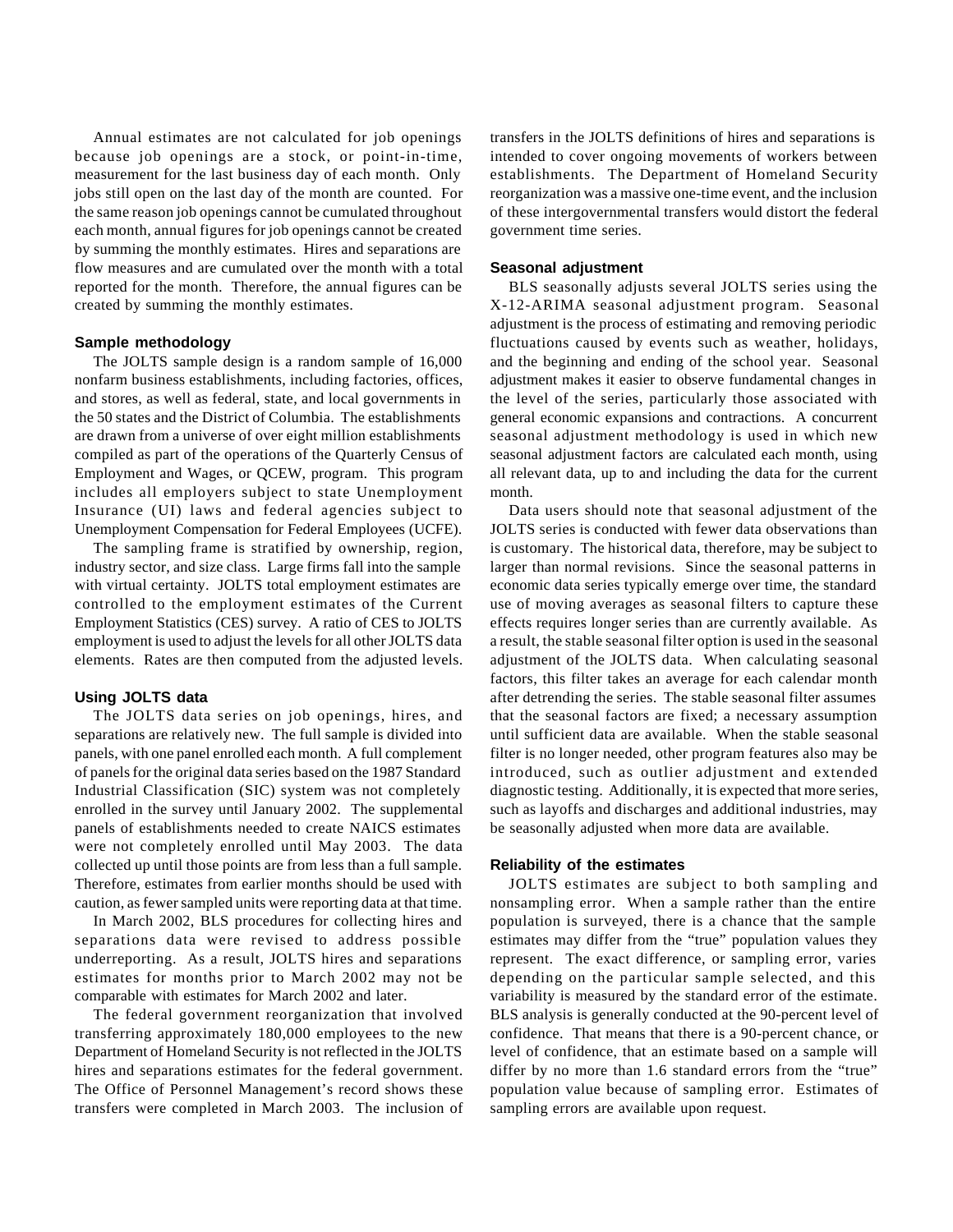Annual estimates are not calculated for job openings because job openings are a stock, or point-in-time, measurement for the last business day of each month. Only jobs still open on the last day of the month are counted. For the same reason job openings cannot be cumulated throughout each month, annual figures for job openings cannot be created by summing the monthly estimates. Hires and separations are flow measures and are cumulated over the month with a total reported for the month. Therefore, the annual figures can be created by summing the monthly estimates.

#### **Sample methodology**

The JOLTS sample design is a random sample of 16,000 nonfarm business establishments, including factories, offices, and stores, as well as federal, state, and local governments in the 50 states and the District of Columbia. The establishments are drawn from a universe of over eight million establishments compiled as part of the operations of the Quarterly Census of Employment and Wages, or QCEW, program. This program includes all employers subject to state Unemployment Insurance (UI) laws and federal agencies subject to Unemployment Compensation for Federal Employees (UCFE).

The sampling frame is stratified by ownership, region, industry sector, and size class. Large firms fall into the sample with virtual certainty. JOLTS total employment estimates are controlled to the employment estimates of the Current Employment Statistics (CES) survey. A ratio of CES to JOLTS employment is used to adjust the levels for all other JOLTS data elements. Rates are then computed from the adjusted levels.

#### **Using JOLTS data**

The JOLTS data series on job openings, hires, and separations are relatively new. The full sample is divided into panels, with one panel enrolled each month. A full complement of panels for the original data series based on the 1987 Standard Industrial Classification (SIC) system was not completely enrolled in the survey until January 2002. The supplemental panels of establishments needed to create NAICS estimates were not completely enrolled until May 2003. The data collected up until those points are from less than a full sample. Therefore, estimates from earlier months should be used with caution, as fewer sampled units were reporting data at that time.

In March 2002, BLS procedures for collecting hires and separations data were revised to address possible underreporting. As a result, JOLTS hires and separations estimates for months prior to March 2002 may not be comparable with estimates for March 2002 and later.

The federal government reorganization that involved transferring approximately 180,000 employees to the new Department of Homeland Security is not reflected in the JOLTS hires and separations estimates for the federal government. The Office of Personnel Management's record shows these transfers were completed in March 2003. The inclusion of transfers in the JOLTS definitions of hires and separations is intended to cover ongoing movements of workers between establishments. The Department of Homeland Security reorganization was a massive one-time event, and the inclusion of these intergovernmental transfers would distort the federal government time series.

#### **Seasonal adjustment**

BLS seasonally adjusts several JOLTS series using the X-12-ARIMA seasonal adjustment program. Seasonal adjustment is the process of estimating and removing periodic fluctuations caused by events such as weather, holidays, and the beginning and ending of the school year. Seasonal adjustment makes it easier to observe fundamental changes in the level of the series, particularly those associated with general economic expansions and contractions. A concurrent seasonal adjustment methodology is used in which new seasonal adjustment factors are calculated each month, using all relevant data, up to and including the data for the current month.

Data users should note that seasonal adjustment of the JOLTS series is conducted with fewer data observations than is customary. The historical data, therefore, may be subject to larger than normal revisions. Since the seasonal patterns in economic data series typically emerge over time, the standard use of moving averages as seasonal filters to capture these effects requires longer series than are currently available. As a result, the stable seasonal filter option is used in the seasonal adjustment of the JOLTS data. When calculating seasonal factors, this filter takes an average for each calendar month after detrending the series. The stable seasonal filter assumes that the seasonal factors are fixed; a necessary assumption until sufficient data are available. When the stable seasonal filter is no longer needed, other program features also may be introduced, such as outlier adjustment and extended diagnostic testing. Additionally, it is expected that more series, such as layoffs and discharges and additional industries, may be seasonally adjusted when more data are available.

#### **Reliability of the estimates**

JOLTS estimates are subject to both sampling and nonsampling error. When a sample rather than the entire population is surveyed, there is a chance that the sample estimates may differ from the "true" population values they represent. The exact difference, or sampling error, varies depending on the particular sample selected, and this variability is measured by the standard error of the estimate. BLS analysis is generally conducted at the 90-percent level of confidence. That means that there is a 90-percent chance, or level of confidence, that an estimate based on a sample will differ by no more than 1.6 standard errors from the "true" population value because of sampling error. Estimates of sampling errors are available upon request.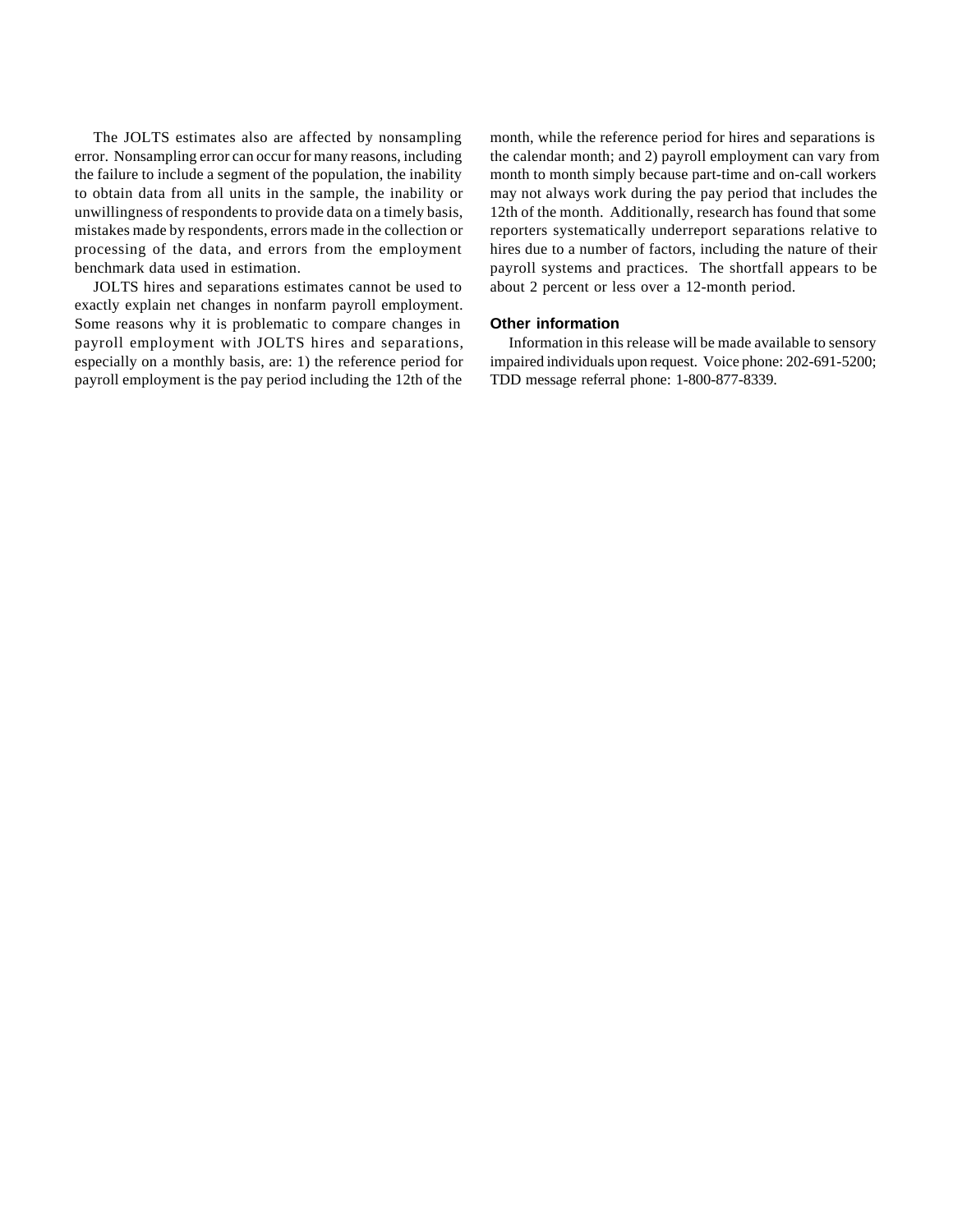The JOLTS estimates also are affected by nonsampling error. Nonsampling error can occur for many reasons, including the failure to include a segment of the population, the inability to obtain data from all units in the sample, the inability or unwillingness of respondents to provide data on a timely basis, mistakes made by respondents, errors made in the collection or processing of the data, and errors from the employment benchmark data used in estimation.

JOLTS hires and separations estimates cannot be used to exactly explain net changes in nonfarm payroll employment. Some reasons why it is problematic to compare changes in payroll employment with JOLTS hires and separations, especially on a monthly basis, are: 1) the reference period for payroll employment is the pay period including the 12th of the

month, while the reference period for hires and separations is the calendar month; and 2) payroll employment can vary from month to month simply because part-time and on-call workers may not always work during the pay period that includes the 12th of the month. Additionally, research has found that some reporters systematically underreport separations relative to hires due to a number of factors, including the nature of their payroll systems and practices. The shortfall appears to be about 2 percent or less over a 12-month period.

#### **Other information**

Information in this release will be made available to sensory impaired individuals upon request. Voice phone: 202-691-5200; TDD message referral phone: 1-800-877-8339.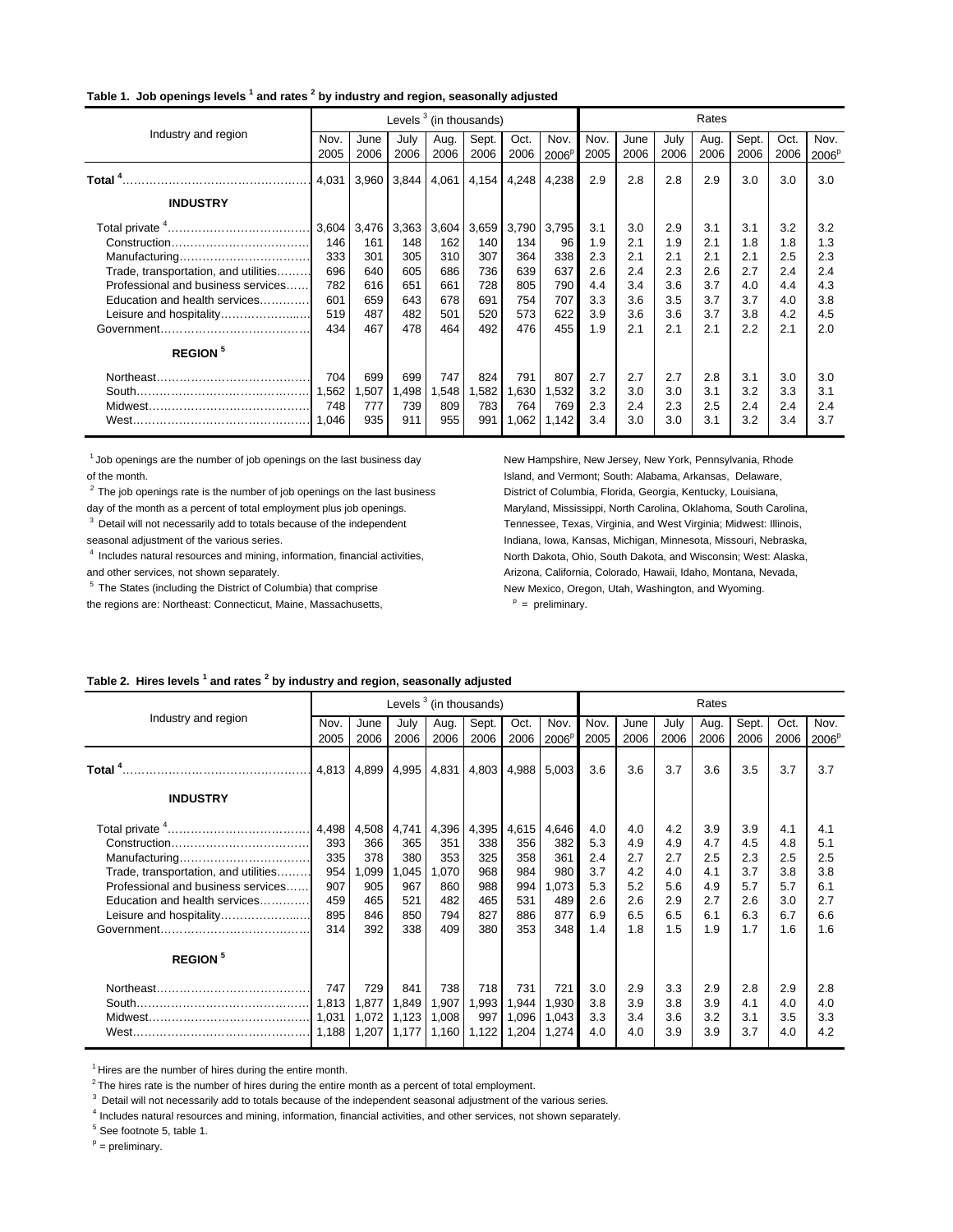#### **Table 1. Job openings levels <sup>1</sup> and rates <sup>2</sup> by industry and region, seasonally adjusted**

|                                      |       |       | Levels <sup>3</sup> (in thousands) |       |       |       |                   |      |      |      | Rates |       |      |                   |
|--------------------------------------|-------|-------|------------------------------------|-------|-------|-------|-------------------|------|------|------|-------|-------|------|-------------------|
| Industry and region                  | Nov.  | June  | July                               | Aug.  | Sept. | Oct.  | Nov.              | Nov. | June | July | Aug.  | Sept. | Oct. | Nov.              |
|                                      | 2005  | 2006  | 2006                               | 2006  | 2006  | 2006  | 2006 <sup>F</sup> | 2005 | 2006 | 2006 | 2006  | 2006  | 2006 | 2006 <sup>p</sup> |
|                                      | 4,031 | 3,960 | 3,844                              | 4,061 | 4,154 | 4,248 | 4,238             | 2.9  | 2.8  | 2.8  | 2.9   | 3.0   | 3.0  | 3.0               |
| <b>INDUSTRY</b>                      |       |       |                                    |       |       |       |                   |      |      |      |       |       |      |                   |
|                                      | 3,604 | 3,476 | 3,363                              | 3,604 | 3,659 | 3,790 | 3,795             | 3.1  | 3.0  | 2.9  | 3.1   | 3.1   | 3.2  | 3.2               |
|                                      | 146   | 161   | 148                                | 162   | 140   | 134   | 96                | 1.9  | 2.1  | 1.9  | 2.1   | 1.8   | 1.8  | 1.3               |
|                                      | 333   | 301   | 305                                | 310   | 307   | 364   | 338               | 2.3  | 2.1  | 2.1  | 2.1   | 2.1   | 2.5  | 2.3               |
| Trade, transportation, and utilities | 696   | 640   | 605                                | 686   | 736   | 639   | 637               | 2.6  | 2.4  | 2.3  | 2.6   | 2.7   | 2.4  | 2.4               |
| Professional and business services   | 782   | 616   | 651                                | 661   | 728   | 805   | 790               | 4.4  | 3.4  | 3.6  | 3.7   | 4.0   | 4.4  | 4.3               |
| Education and health services        | 601   | 659   | 643                                | 678   | 691   | 754   | 707               | 3.3  | 3.6  | 3.5  | 3.7   | 3.7   | 4.0  | 3.8               |
| Leisure and hospitality              | 519   | 487   | 482                                | 501   | 520   | 573   | 622               | 3.9  | 3.6  | 3.6  | 3.7   | 3.8   | 4.2  | 4.5               |
|                                      | 434   | 467   | 478                                | 464   | 492   | 476   | 455               | 1.9  | 2.1  | 2.1  | 2.1   | 2.2   | 2.1  | 2.0               |
| <b>REGION</b> <sup>5</sup>           |       |       |                                    |       |       |       |                   |      |      |      |       |       |      |                   |
|                                      | 704   | 699   | 699                                | 747   | 824   | 791   | 807               | 2.7  | 2.7  | 2.7  | 2.8   | 3.1   | 3.0  | 3.0               |
|                                      | 1,562 | 1,507 | A98.                               | 1,548 | .582  | 1,630 | 1,532             | 3.2  | 3.0  | 3.0  | 3.1   | 3.2   | 3.3  | 3.1               |
|                                      | 748   | 777   | 739                                | 809   | 783   | 764   | 769               | 2.3  | 2.4  | 2.3  | 2.5   | 2.4   | 2.4  | 2.4               |
| West.                                | 1,046 | 935   | 911                                | 955   | 991   | 1,062 | 1,142             | 3.4  | 3.0  | 3.0  | 3.1   | 3.2   | 3.4  | 3.7               |

<sup>1</sup> Job openings are the number of job openings on the last business day New Hampshire, New Jersey, New York, Pennsylvania, Rhode of the month. Island, and Vermont; South: Alabama, Arkansas, Delaware,

<sup>3</sup> Detail will not necessarily add to totals because of the independent Tennessee, Texas, Virginia, and West Virginia; Midwest: Illinois,

and other services, not shown separately. Arizona, California, Colorado, Hawaii, Idaho, Montana, Nevada,

the regions are: Northeast: Connecticut, Maine, Massachusetts,

 $2$  The job openings rate is the number of job openings on the last business District of Columbia, Florida, Georgia, Kentucky, Louisiana, day of the month as a percent of total employment plus job openings. Maryland, Mississippi, North Carolina, Oklahoma, South Carolina, seasonal adjustment of the various series. Indiana, Iowa, Kansas, Michigan, Minnesota, Missouri, Nebraska, <sup>4</sup> Includes natural resources and mining, information, financial activities, North Dakota, Ohio, South Dakota, and Wisconsin; West: Alaska, <sup>5</sup> The States (including the District of Columbia) that comprise New Mexico, Oregon, Utah, Washington, and Wyoming.  $P =$  preliminary.

#### **Table 2. Hires levels <sup>1</sup> and rates <sup>2</sup> by industry and region, seasonally adjusted**

|                                      |       |       |       | Levels $3$ (in thousands) |       |       |                   | Rates |      |      |      |       |      |                   |
|--------------------------------------|-------|-------|-------|---------------------------|-------|-------|-------------------|-------|------|------|------|-------|------|-------------------|
| Industry and region                  | Nov.  | June  | July  | Aug.                      | Sept. | Oct.  | Nov.              | Nov.  | June | July | Aug. | Sept. | Oct. | Nov.              |
|                                      | 2005  | 2006  | 2006  | 2006                      | 2006  | 2006  | 2006 <sup>F</sup> | 2005  | 2006 | 2006 | 2006 | 2006  | 2006 | 2006 <sup>p</sup> |
|                                      | 4,813 | 4,899 | 4,995 | 4,831                     | 4,803 | 4,988 | 5,003             | 3.6   | 3.6  | 3.7  | 3.6  | 3.5   | 3.7  | 3.7               |
| <b>INDUSTRY</b>                      |       |       |       |                           |       |       |                   |       |      |      |      |       |      |                   |
|                                      | 4,498 | 4,508 | 4,741 | 4,396                     | 4,395 | 4,615 | 4,646             | 4.0   | 4.0  | 4.2  | 3.9  | 3.9   | 4.1  | 4.1               |
|                                      | 393   | 366   | 365   | 351                       | 338   | 356   | 382               | 5.3   | 4.9  | 4.9  | 4.7  | 4.5   | 4.8  | 5.1               |
| Manufacturing                        | 335   | 378   | 380   | 353                       | 325   | 358   | 361               | 2.4   | 2.7  | 2.7  | 2.5  | 2.3   | 2.5  | 2.5               |
| Trade, transportation, and utilities | 954   | 1,099 | 1,045 | 1.070                     | 968   | 984   | 980               | 3.7   | 4.2  | 4.0  | 4.1  | 3.7   | 3.8  | 3.8               |
| Professional and business services   | 907   | 905   | 967   | 860                       | 988   | 994   | 1.073             | 5.3   | 5.2  | 5.6  | 4.9  | 5.7   | 5.7  | 6.1               |
| Education and health services        | 459   | 465   | 521   | 482                       | 465   | 531   | 489               | 2.6   | 2.6  | 2.9  | 2.7  | 2.6   | 3.0  | 2.7               |
| Leisure and hospitality              | 895   | 846   | 850   | 794                       | 827   | 886   | 877               | 6.9   | 6.5  | 6.5  | 6.1  | 6.3   | 6.7  | 6.6               |
|                                      | 314   | 392   | 338   | 409                       | 380   | 353   | 348               | 1.4   | 1.8  | 1.5  | 1.9  | 1.7   | 1.6  | 1.6               |
| <b>REGION</b> <sup>5</sup>           |       |       |       |                           |       |       |                   |       |      |      |      |       |      |                   |
|                                      | 747   | 729   | 841   | 738                       | 718   | 731   | 721               | 3.0   | 2.9  | 3.3  | 2.9  | 2.8   | 2.9  | 2.8               |
|                                      | 1,813 | 1,877 | 1,849 | 1,907                     | 1,993 | 1,944 | 1.930             | 3.8   | 3.9  | 3.8  | 3.9  | 4.1   | 4.0  | 4.0               |
|                                      | 1,031 | 1,072 | 1,123 | 1.008                     | 997   | 1,096 | 1.043             | 3.3   | 3.4  | 3.6  | 3.2  | 3.1   | 3.5  | 3.3               |
|                                      | 1,188 | 1,207 | 1,177 | 1,160                     | 1,122 | 1,204 | 1,274             | 4.0   | 4.0  | 3.9  | 3.9  | 3.7   | 4.0  | 4.2               |

 $<sup>1</sup>$  Hires are the number of hires during the entire month.</sup>

 $2$ The hires rate is the number of hires during the entire month as a percent of total employment.

 $3$  Detail will not necessarily add to totals because of the independent seasonal adjustment of the various series.

4 Includes natural resources and mining, information, financial activities, and other services, not shown separately.

<sup>5</sup> See footnote 5, table 1.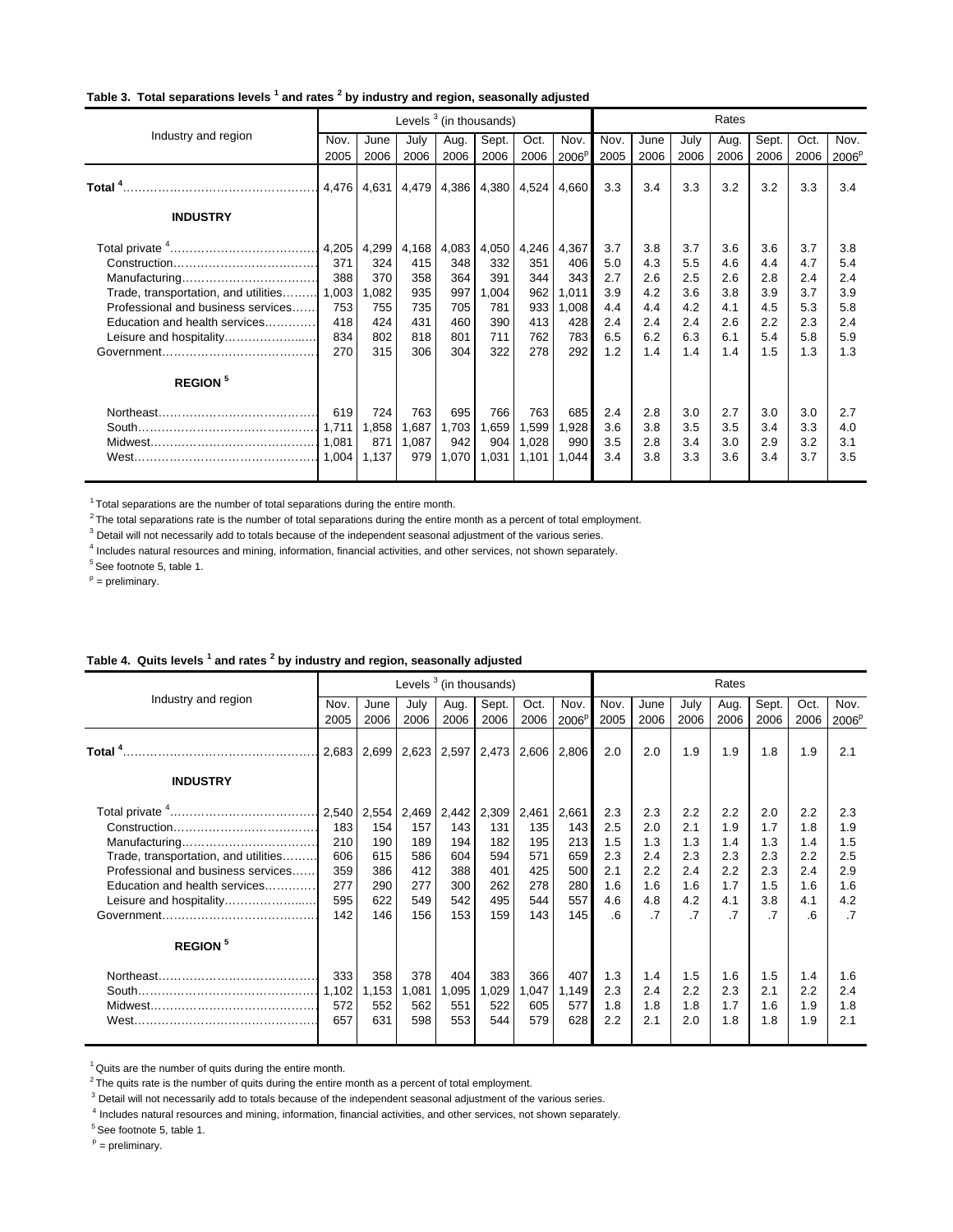#### **Table 3. Total separations levels <sup>1</sup> and rates <sup>2</sup> by industry and region, seasonally adjusted**

|                                      |       |             | Levels <sup>3</sup> (in thousands) |       |                   |       |                   | Rates |      |      |      |       |      |                   |
|--------------------------------------|-------|-------------|------------------------------------|-------|-------------------|-------|-------------------|-------|------|------|------|-------|------|-------------------|
| Industry and region                  | Nov.  | June        | July                               | Aug.  | Sept.             | Oct.  | Nov.              | Nov.  | June | July | Aug. | Sept. | Oct. | Nov.              |
|                                      | 2005  | 2006        | 2006                               | 2006  | 2006              | 2006  | 2006 <sup>p</sup> | 2005  | 2006 | 2006 | 2006 | 2006  | 2006 | 2006 <sup>p</sup> |
| Total <sup>4</sup> …………………………………………… |       | 4,476 4,631 | 4,479                              |       | 4,386 4,380 4,524 |       | 4,660             | 3.3   | 3.4  | 3.3  | 3.2  | 3.2   | 3.3  | 3.4               |
| <b>INDUSTRY</b>                      |       |             |                                    |       |                   |       |                   |       |      |      |      |       |      |                   |
|                                      | 4,205 | 4,299       | 4,168                              | 4,083 | 4,050             | 4,246 | 4,367             | 3.7   | 3.8  | 3.7  | 3.6  | 3.6   | 3.7  | 3.8               |
|                                      | 371   | 324         | 415                                | 348   | 332               | 351   | 406               | 5.0   | 4.3  | 5.5  | 4.6  | 4.4   | 4.7  | 5.4               |
|                                      | 388   | 370         | 358                                | 364   | 391               | 344   | 343               | 2.7   | 2.6  | 2.5  | 2.6  | 2.8   | 2.4  | 2.4               |
| Trade, transportation, and utilities | 1,003 | 1,082       | 935                                | 997   | ,004              | 962   | 1,011             | 3.9   | 4.2  | 3.6  | 3.8  | 3.9   | 3.7  | 3.9               |
| Professional and business services   | 753   | 755         | 735                                | 705   | 781               | 933   | 1,008             | 4.4   | 4.4  | 4.2  | 4.1  | 4.5   | 5.3  | 5.8               |
| Education and health services        | 418   | 424         | 431                                | 460   | 390               | 413   | 428               | 2.4   | 2.4  | 2.4  | 2.6  | 2.2   | 2.3  | 2.4               |
| Leisure and hospitality              | 834   | 802         | 818                                | 801   | 711               | 762   | 783               | 6.5   | 6.2  | 6.3  | 6.1  | 5.4   | 5.8  | 5.9               |
|                                      | 270   | 315         | 306                                | 304   | 322               | 278   | 292               | 1.2   | 1.4  | 1.4  | 1.4  | 1.5   | 1.3  | 1.3               |
| <b>REGION</b> <sup>5</sup>           |       |             |                                    |       |                   |       |                   |       |      |      |      |       |      |                   |
|                                      | 619   | 724         | 763                                | 695   | 766               | 763   | 685               | 2.4   | 2.8  | 3.0  | 2.7  | 3.0   | 3.0  | 2.7               |
|                                      |       | 1,858       | 1,687                              | 1,703 | 1,659             | 1,599 | 1,928             | 3.6   | 3.8  | 3.5  | 3.5  | 3.4   | 3.3  | 4.0               |
|                                      | 1.081 | 871         | 1,087                              | 942   | 904               | 1,028 | 990               | 3.5   | 2.8  | 3.4  | 3.0  | 2.9   | 3.2  | 3.1               |
|                                      |       | 1,137       | 979                                | 1,070 | 1.031             | 1,101 | 1.044             | 3.4   | 3.8  | 3.3  | 3.6  | 3.4   | 3.7  | 3.5               |

 $1$ Total separations are the number of total separations during the entire month.

 $2$ The total separations rate is the number of total separations during the entire month as a percent of total employment.

 $3$  Detail will not necessarily add to totals because of the independent seasonal adjustment of the various series.

4 Includes natural resources and mining, information, financial activities, and other services, not shown separately.

 $5$  See footnote 5, table 1.

 $p =$  preliminary.

|                                      |       |       | Levels $3$ (in thousands) |       |       |       |                   | Rates |                 |      |                 |       |      |                   |
|--------------------------------------|-------|-------|---------------------------|-------|-------|-------|-------------------|-------|-----------------|------|-----------------|-------|------|-------------------|
| Industry and region                  | Nov.  | June  | July                      | Aug.  | Sept. | Oct.  | Nov.              | Nov.  | June            | July | Aug.            | Sept. | Oct. | Nov.              |
|                                      | 2005  | 2006  | 2006                      | 2006  | 2006  | 2006  | 2006 <sup>p</sup> | 2005  | 2006            | 2006 | 2006            | 2006  | 2006 | 2006 <sup>p</sup> |
|                                      | 2,683 | 2,699 | 2,623                     | 2,597 | 2,473 | 2,606 | 2,806             | 2.0   | 2.0             | 1.9  | 1.9             | 1.8   | 1.9  | 2.1               |
| <b>INDUSTRY</b>                      |       |       |                           |       |       |       |                   |       |                 |      |                 |       |      |                   |
|                                      | 2,540 | 2,554 | 2,469                     | 2,442 | 2,309 | 2,461 | 2,661             | 2.3   | 2.3             | 2.2  | 2.2             | 2.0   | 2.2  | 2.3               |
|                                      | 183   | 154   | 157                       | 143   | 131   | 135   | 143               | 2.5   | 2.0             | 2.1  | 1.9             | 1.7   | 1.8  | 1.9               |
|                                      | 210   | 190   | 189                       | 194   | 182   | 195   | 213               | 1.5   | 1.3             | 1.3  | 1.4             | 1.3   | 1.4  | 1.5               |
| Trade, transportation, and utilities | 606   | 615   | 586                       | 604   | 594   | 571   | 659               | 2.3   | 2.4             | 2.3  | 2.3             | 2.3   | 2.2  | 2.5               |
| Professional and business services   | 359   | 386   | 412                       | 388   | 401   | 425   | 500               | 2.1   | 2.2             | 2.4  | 2.2             | 2.3   | 2.4  | 2.9               |
| Education and health services        | 277   | 290   | 277                       | 300   | 262   | 278   | 280               | 1.6   | 1.6             | 1.6  | 1.7             | 1.5   | 1.6  | 1.6               |
| Leisure and hospitality              | 595   | 622   | 549                       | 542   | 495   | 544   | 557               | 4.6   | 4.8             | 4.2  | 4.1             | 3.8   | 4.1  | 4.2               |
|                                      | 142   | 146   | 156                       | 153   | 159   | 143   | 145               | 6     | $\overline{.7}$ | .7   | $\overline{.7}$ | .7    | 6    | .7                |
| <b>REGION</b> <sup>5</sup>           |       |       |                           |       |       |       |                   |       |                 |      |                 |       |      |                   |
|                                      | 333   | 358   | 378                       | 404   | 383   | 366   | 407               | 1.3   | 1.4             | 1.5  | 1.6             | 1.5   | 1.4  | 1.6               |
|                                      | 1,102 | 1,153 | ,081                      | 1,095 | 1,029 | 1,047 | 1,149             | 2.3   | 2.4             | 2.2  | 2.3             | 2.1   | 2.2  | 2.4               |
|                                      | 572   | 552   | 562                       | 551   | 522   | 605   | 577               | 1.8   | 1.8             | 1.8  | 1.7             | 1.6   | 1.9  | 1.8               |
| West.                                | 657   | 631   | 598                       | 553   | 544   | 579   | 628               | 2.2   | 2.1             | 2.0  | 1.8             | 1.8   | 1.9  | 2.1               |

#### **Table 4. Quits levels <sup>1</sup> and rates <sup>2</sup> by industry and region, seasonally adjusted**

 $1$  Quits are the number of quits during the entire month.

 $2$ The quits rate is the number of quits during the entire month as a percent of total employment.

<sup>3</sup> Detail will not necessarily add to totals because of the independent seasonal adjustment of the various series.

4 Includes natural resources and mining, information, financial activities, and other services, not shown separately.

 $5$  See footnote 5, table 1.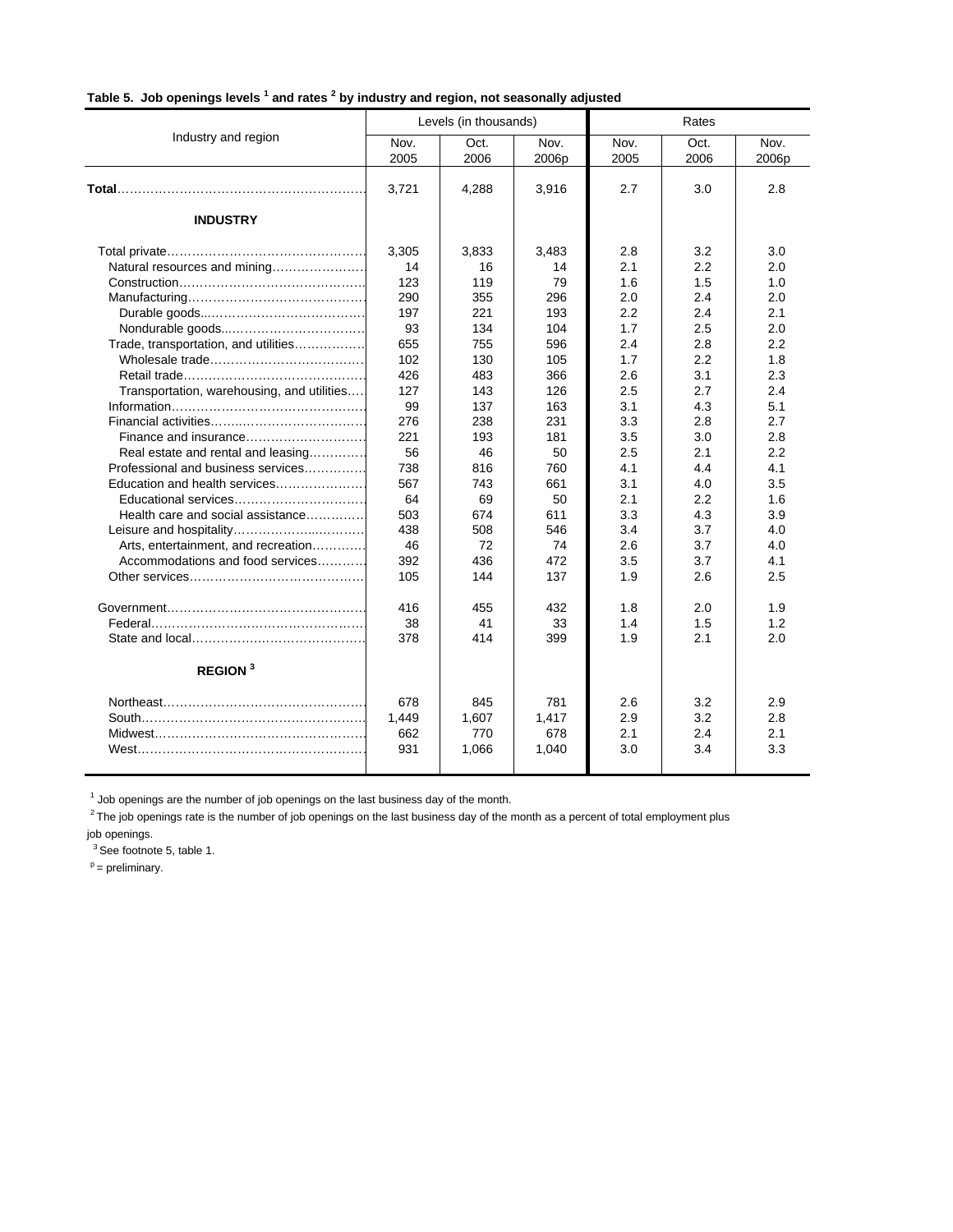| Table 5. Job openings levels <sup>1</sup> and rates <sup>2</sup> by industry and region, not seasonally adjusted |  |
|------------------------------------------------------------------------------------------------------------------|--|

|                                            |              | Levels (in thousands) |               | Rates        |              |               |  |
|--------------------------------------------|--------------|-----------------------|---------------|--------------|--------------|---------------|--|
| Industry and region                        | Nov.<br>2005 | Oct.<br>2006          | Nov.<br>2006p | Nov.<br>2005 | Oct.<br>2006 | Nov.<br>2006p |  |
|                                            | 3,721        | 4.288                 | 3,916         | 2.7          | 3.0          | 2.8           |  |
| <b>INDUSTRY</b>                            |              |                       |               |              |              |               |  |
|                                            | 3.305        | 3.833                 | 3.483         | 2.8          | 3.2          | 3.0           |  |
| Natural resources and mining               | 14           | 16                    | 14            | 2.1          | 2.2          | 2.0           |  |
|                                            | 123          | 119                   | 79            | 1.6          | 1.5          | 1.0           |  |
|                                            | 290          | 355                   | 296           | 2.0          | 2.4          | 2.0           |  |
|                                            | 197          | 221                   | 193           | 2.2          | 2.4          | 2.1           |  |
|                                            | 93           | 134                   | 104           | 1.7          | 2.5          | 2.0           |  |
| Trade, transportation, and utilities       | 655          | 755                   | 596           | 2.4          | 2.8          | 2.2           |  |
|                                            | 102          | 130                   | 105           | 1.7          | 2.2          | 1.8           |  |
|                                            | 426          | 483                   | 366           | 2.6          | 3.1          | 2.3           |  |
| Transportation, warehousing, and utilities | 127          | 143                   | 126           | 2.5          | 2.7          | 2.4           |  |
|                                            | 99           | 137                   | 163           | 3.1          | 4.3          | 5.1           |  |
|                                            | 276          | 238                   | 231           | 3.3          | 2.8          | 2.7           |  |
| Finance and insurance                      | 221          | 193                   | 181           | 3.5          | 3.0          | 2.8           |  |
| Real estate and rental and leasing         | 56           | 46                    | 50            | 2.5          | 2.1          | 2.2           |  |
| Professional and business services         | 738          | 816                   | 760           | 4.1          | 4.4          | 4.1           |  |
| Education and health services              | 567          | 743                   | 661           | 3.1          | 4.0          | 3.5           |  |
| Educational services                       | 64           | 69                    | 50            | 2.1          | 2.2          | 1.6           |  |
| Health care and social assistance          | 503          | 674                   | 611           | 3.3          | 4.3          | 3.9           |  |
|                                            | 438          | 508                   | 546           | 3.4          | 3.7          | 4.0           |  |
| Arts, entertainment, and recreation        | 46           | 72                    | 74            | 2.6          | 3.7          | 4.0           |  |
| Accommodations and food services           | 392          | 436                   | 472           | 3.5          | 3.7          | 4.1           |  |
|                                            | 105          | 144                   | 137           | 1.9          | 2.6          | 2.5           |  |
|                                            | 416          | 455                   | 432           | 1.8          | 2.0          | 1.9           |  |
|                                            | 38           | 41                    | 33            | 1.4          | 1.5          | 1.2           |  |
|                                            | 378          | 414                   | 399           | 1.9          | 2.1          | 2.0           |  |
| <b>REGION</b> <sup>3</sup>                 |              |                       |               |              |              |               |  |
|                                            | 678          | 845                   | 781           | 2.6          | 3.2          | 2.9           |  |
|                                            | 1,449        | 1,607                 | 1,417         | 2.9          | 3.2          | 2.8           |  |
|                                            | 662          | 770                   | 678           | 2.1          | 2.4          | 2.1           |  |
|                                            | 931          | 1,066                 | 1,040         | 3.0          | 3.4          | 3.3           |  |
|                                            |              |                       |               |              |              |               |  |

 $<sup>1</sup>$  Job openings are the number of job openings on the last business day of the month.</sup>

<sup>2</sup>The job openings rate is the number of job openings on the last business day of the month as a percent of total employment plus

job openings.

 $3$  See footnote 5, table 1.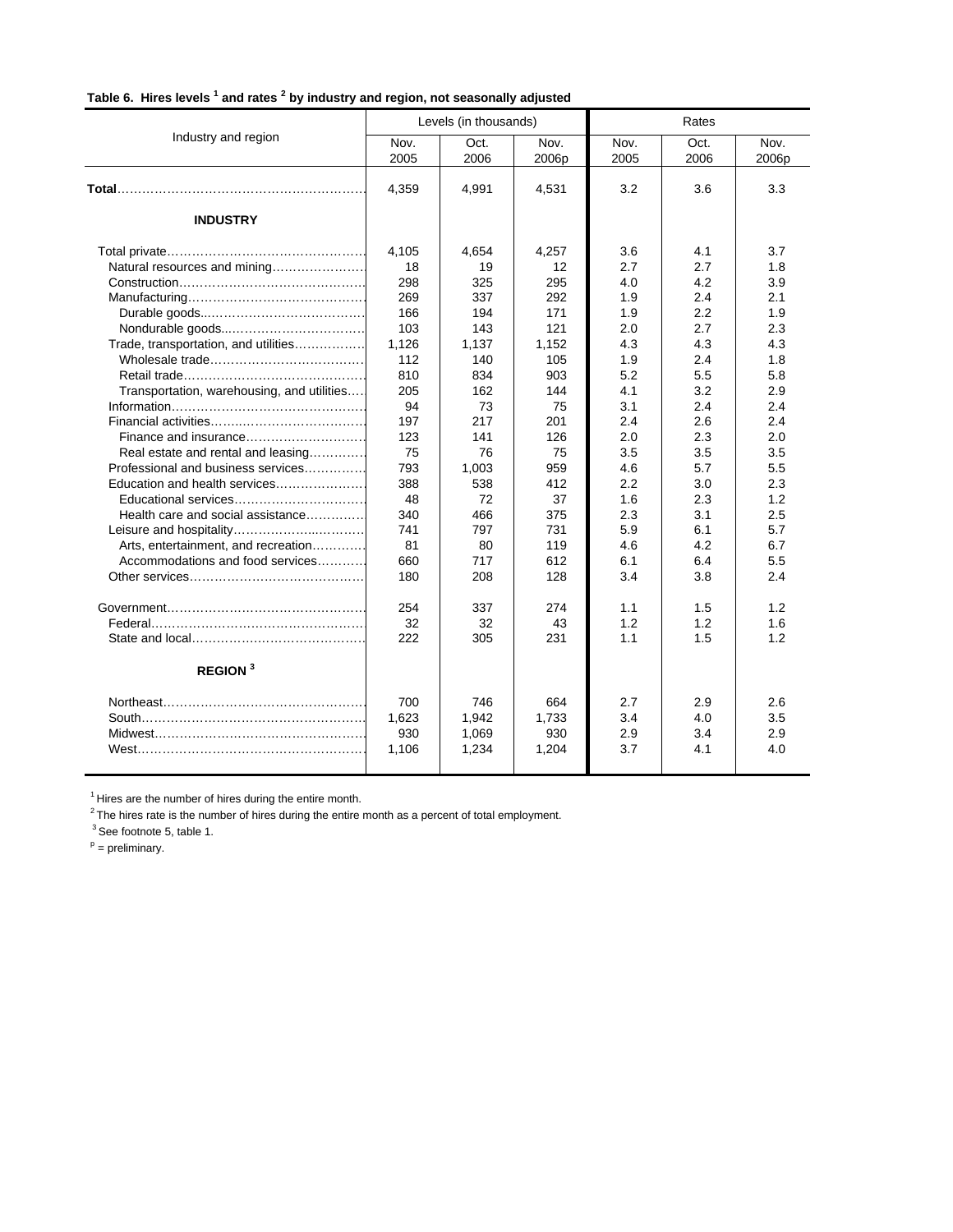|  | Table 6. Hires levels <sup>1</sup> and rates <sup>2</sup> by industry and region, not seasonally adjusted |  |
|--|-----------------------------------------------------------------------------------------------------------|--|

|                                            |              | Levels (in thousands) |               | Rates        |              |               |  |
|--------------------------------------------|--------------|-----------------------|---------------|--------------|--------------|---------------|--|
| Industry and region                        | Nov.<br>2005 | Oct.<br>2006          | Nov.<br>2006p | Nov.<br>2005 | Oct.<br>2006 | Nov.<br>2006p |  |
|                                            | 4,359        | 4,991                 | 4,531         | 3.2          | 3.6          | 3.3           |  |
| <b>INDUSTRY</b>                            |              |                       |               |              |              |               |  |
|                                            | 4,105        | 4,654                 | 4,257         | 3.6          | 4.1          | 3.7           |  |
| Natural resources and mining               | 18           | 19                    | 12            | 2.7          | 2.7          | 1.8           |  |
|                                            | 298          | 325                   | 295           | 4.0          | 4.2          | 3.9           |  |
|                                            | 269          | 337                   | 292           | 1.9          | 2.4          | 2.1           |  |
|                                            | 166          | 194                   | 171           | 1.9          | 2.2          | 1.9           |  |
|                                            | 103          | 143                   | 121           | 2.0          | 2.7          | 2.3           |  |
| Trade, transportation, and utilities       | 1.126        | 1,137                 | 1,152         | 4.3          | 4.3          | 4.3           |  |
|                                            | 112          | 140                   | 105           | 1.9          | 2.4          | 1.8           |  |
|                                            | 810          | 834                   | 903           | 5.2          | 5.5          | 5.8           |  |
| Transportation, warehousing, and utilities | 205          | 162                   | 144           | 4.1          | 3.2          | 2.9           |  |
|                                            | 94           | 73                    | 75            | 3.1          | 2.4          | 2.4           |  |
|                                            | 197          | 217                   | 201           | 2.4          | 2.6          | 2.4           |  |
| Finance and insurance                      | 123          | 141                   | 126           | 2.0          | 2.3          | 2.0           |  |
| Real estate and rental and leasing         | 75           | 76                    | 75            | 3.5          | 3.5          | 3.5           |  |
| Professional and business services         | 793          | 1,003                 | 959           | 4.6          | 5.7          | 5.5           |  |
| Education and health services              | 388          | 538                   | 412           | 2.2          | 3.0          | 2.3           |  |
| Educational services                       | 48           | 72                    | 37            | 1.6          | 2.3          | 1.2           |  |
| Health care and social assistance          | 340          | 466                   | 375           | 2.3          | 3.1          | 2.5           |  |
|                                            | 741          | 797                   | 731           | 5.9          | 6.1          | 5.7           |  |
| Arts, entertainment, and recreation        | 81           | 80                    | 119           | 4.6          | 4.2          | 6.7           |  |
| Accommodations and food services           | 660          | 717                   | 612           | 6.1          | 6.4          | 5.5           |  |
|                                            | 180          | 208                   | 128           | 3.4          | 3.8          | 2.4           |  |
|                                            | 254          | 337                   | 274           | 1.1          | 1.5          | 1.2           |  |
|                                            | 32           | 32                    | 43            | 1.2          | 1.2          | 1.6           |  |
|                                            | 222          | 305                   | 231           | 1.1          | 1.5          | 1.2           |  |
| <b>REGION</b> <sup>3</sup>                 |              |                       |               |              |              |               |  |
|                                            | 700          | 746                   | 664           | 2.7          | 2.9          | 2.6           |  |
|                                            | 1,623        | 1,942                 | 1,733         | 3.4          | 4.0          | 3.5           |  |
|                                            | 930          | 1,069                 | 930           | 2.9          | 3.4          | 2.9           |  |
|                                            | 1,106        | 1,234                 | 1,204         | 3.7          | 4.1          | 4.0           |  |
|                                            |              |                       |               |              |              |               |  |

 $<sup>1</sup>$  Hires are the number of hires during the entire month.</sup>

 $2$ The hires rate is the number of hires during the entire month as a percent of total employment.

<sup>3</sup> See footnote 5, table 1.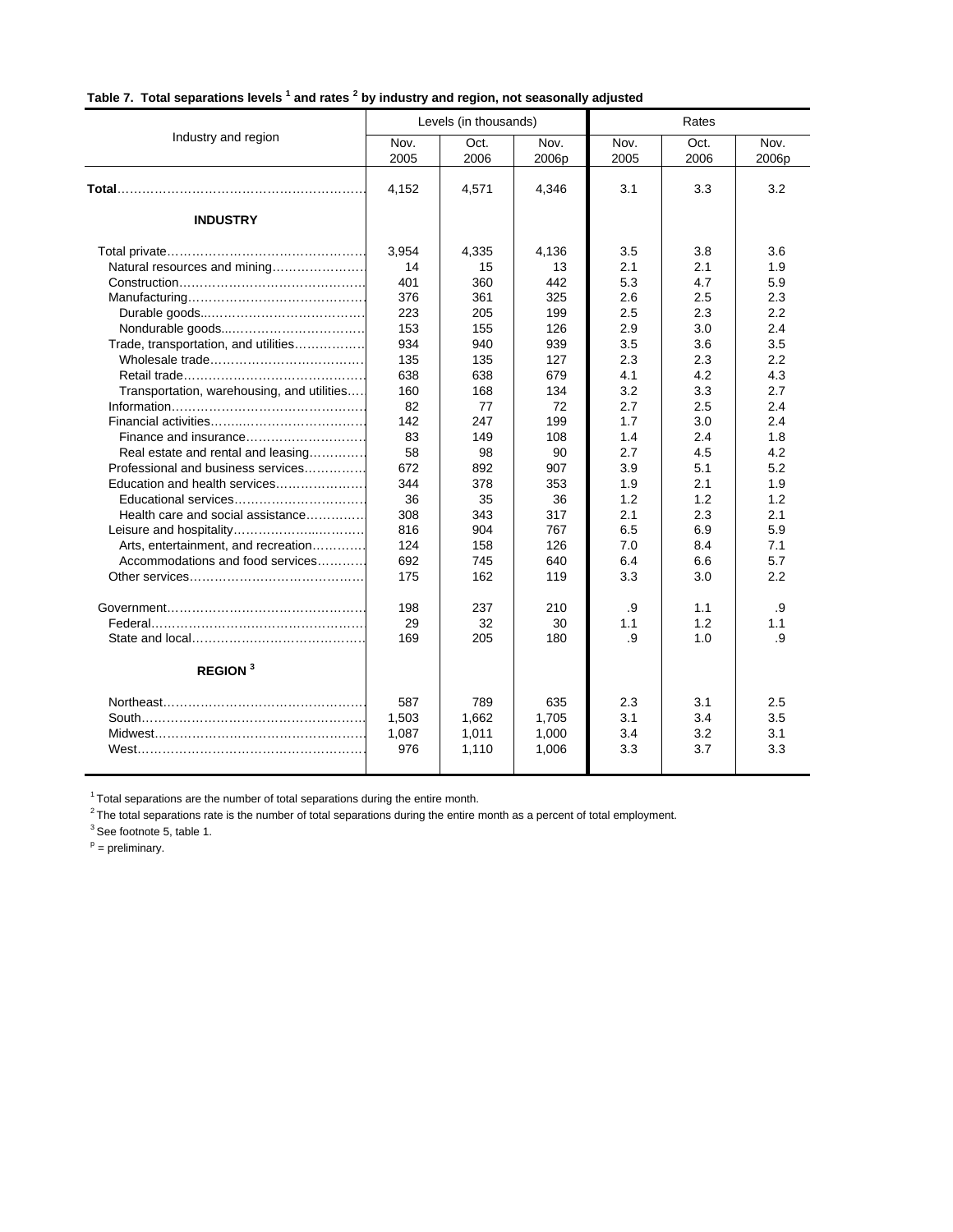| Table 7. Total separations levels <sup>1</sup> and rates <sup>2</sup> by industry and region, not seasonally adjusted |  |  |  |
|-----------------------------------------------------------------------------------------------------------------------|--|--|--|

|                                            |              | Levels (in thousands) |               | Rates        |              |               |  |
|--------------------------------------------|--------------|-----------------------|---------------|--------------|--------------|---------------|--|
| Industry and region                        | Nov.<br>2005 | Oct.<br>2006          | Nov.<br>2006p | Nov.<br>2005 | Oct.<br>2006 | Nov.<br>2006p |  |
|                                            | 4,152        | 4,571                 | 4,346         | 3.1          | 3.3          | 3.2           |  |
| <b>INDUSTRY</b>                            |              |                       |               |              |              |               |  |
|                                            | 3,954        | 4,335                 | 4,136         | 3.5          | 3.8          | 3.6           |  |
| Natural resources and mining               | 14           | 15                    | 13            | 2.1          | 2.1          | 1.9           |  |
|                                            | 401          | 360                   | 442           | 5.3          | 4.7          | 5.9           |  |
|                                            | 376          | 361                   | 325           | 2.6          | 2.5          | 2.3           |  |
|                                            | 223          | 205                   | 199           | 2.5          | 2.3          | 2.2           |  |
|                                            | 153          | 155                   | 126           | 2.9          | 3.0          | 2.4           |  |
| Trade, transportation, and utilities       | 934          | 940                   | 939           | 3.5          | 3.6          | 3.5           |  |
|                                            | 135          | 135                   | 127           | 2.3          | 2.3          | 2.2           |  |
|                                            | 638          | 638                   | 679           | 4.1          | 4.2          | 4.3           |  |
| Transportation, warehousing, and utilities | 160          | 168                   | 134           | 3.2          | 3.3          | 2.7           |  |
|                                            | 82           | 77                    | 72            | 2.7          | 2.5          | 2.4           |  |
|                                            | 142          | 247                   | 199           | 1.7          | 3.0          | 2.4           |  |
| Finance and insurance                      | 83           | 149                   | 108           | 1.4          | 2.4          | 1.8           |  |
| Real estate and rental and leasing         | 58           | 98                    | 90            | 2.7          | 4.5          | 4.2           |  |
| Professional and business services         | 672          | 892                   | 907           | 3.9          | 5.1          | 5.2           |  |
| Education and health services              | 344          | 378                   | 353           | 1.9          | 2.1          | 1.9           |  |
| Educational services                       | 36           | 35                    | 36            | 1.2          | 1.2          | 1.2           |  |
| Health care and social assistance          | 308          | 343                   | 317           | 2.1          | 2.3          | 2.1           |  |
|                                            | 816          | 904                   | 767           | 6.5          | 6.9          | 5.9           |  |
| Arts, entertainment, and recreation        | 124          | 158                   | 126           | 7.0          | 8.4          | 7.1           |  |
| Accommodations and food services           | 692          | 745                   | 640           | 6.4          | 6.6          | 5.7           |  |
|                                            | 175          | 162                   | 119           | 3.3          | 3.0          | 2.2           |  |
|                                            | 198          | 237                   | 210           | .9           | 1.1          | .9            |  |
|                                            | 29           | 32                    | 30            | 1.1          | 1.2          | 1.1           |  |
|                                            | 169          | 205                   | 180           | .9           | 1.0          | .9            |  |
| <b>REGION</b> <sup>3</sup>                 |              |                       |               |              |              |               |  |
|                                            | 587          | 789                   | 635           | 2.3          | 3.1          | 2.5           |  |
|                                            | 1,503        | 1,662                 | 1,705         | 3.1          | 3.4          | 3.5           |  |
|                                            | 1,087        | 1,011                 | 1,000         | 3.4          | 3.2          | 3.1           |  |
|                                            | 976          | 1,110                 | 1,006         | 3.3          | 3.7          | 3.3           |  |
|                                            |              |                       |               |              |              |               |  |

 $1$ Total separations are the number of total separations during the entire month.

 $2$ The total separations rate is the number of total separations during the entire month as a percent of total employment.

 $3$  See footnote 5, table 1.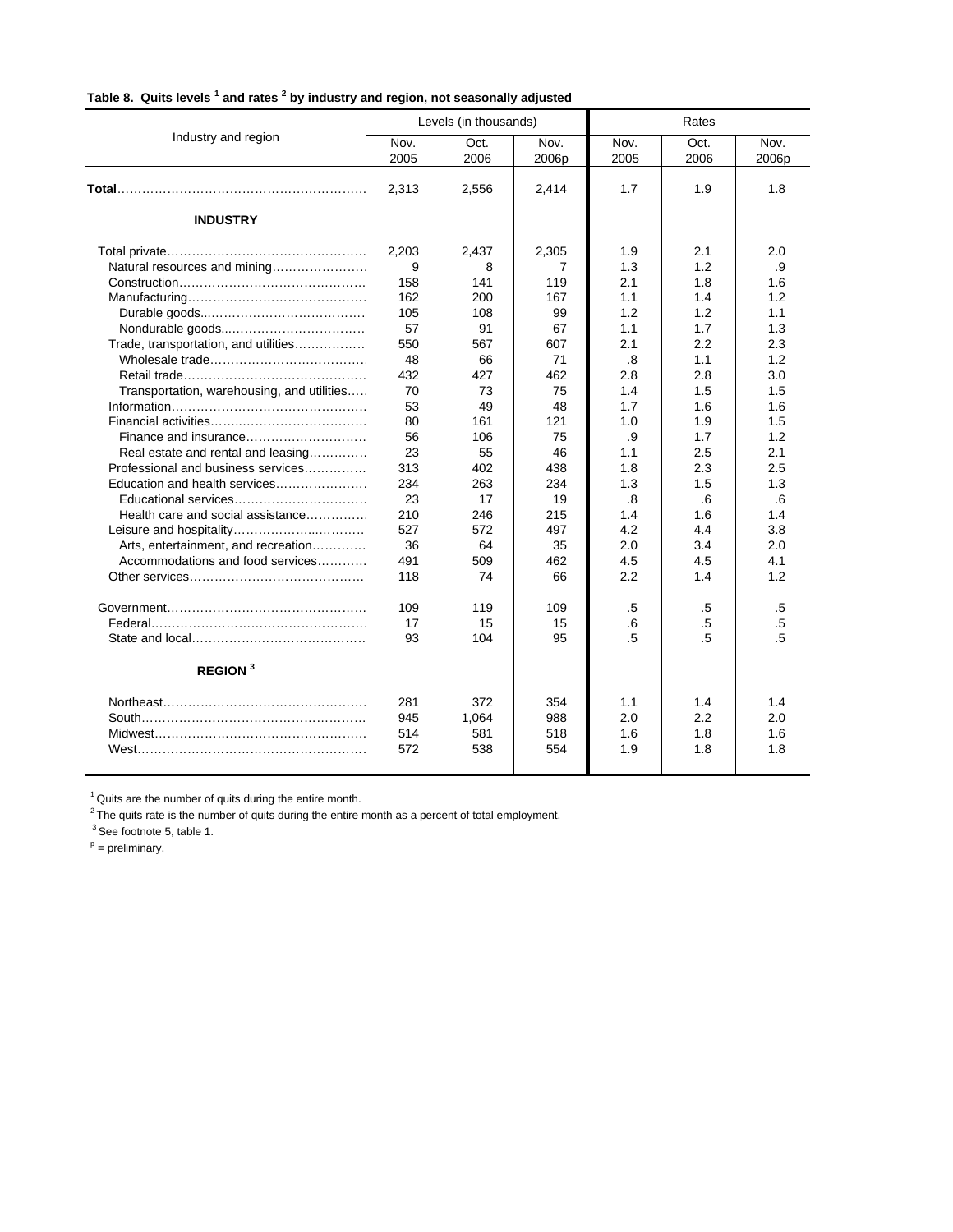|  |  | Table 8. Quits levels <sup>1</sup> and rates <sup>2</sup> by industry and region, not seasonally adjusted |  |
|--|--|-----------------------------------------------------------------------------------------------------------|--|

|                                            | Levels (in thousands) |              |               | Rates        |              |               |
|--------------------------------------------|-----------------------|--------------|---------------|--------------|--------------|---------------|
| Industry and region                        | Nov.<br>2005          | Oct.<br>2006 | Nov.<br>2006p | Nov.<br>2005 | Oct.<br>2006 | Nov.<br>2006p |
|                                            | 2,313                 | 2,556        | 2,414         | 1.7          | 1.9          | 1.8           |
| <b>INDUSTRY</b>                            |                       |              |               |              |              |               |
|                                            | 2,203                 | 2,437        | 2,305         | 1.9          | 2.1          | 2.0           |
| Natural resources and mining               | 9                     | 8            | 7             | 1.3          | 1.2          | .9            |
|                                            | 158                   | 141          | 119           | 2.1          | 1.8          | 1.6           |
|                                            | 162                   | 200          | 167           | 1.1          | 1.4          | 1.2           |
|                                            | 105                   | 108          | 99            | 1.2          | 1.2          | 1.1           |
|                                            | 57                    | 91           | 67            | 1.1          | 1.7          | 1.3           |
| Trade, transportation, and utilities       | 550                   | 567          | 607           | 2.1          | 2.2          | 2.3           |
|                                            | 48                    | 66           | 71            | .8           | 1.1          | 1.2           |
|                                            | 432                   | 427          | 462           | 2.8          | 2.8          | 3.0           |
| Transportation, warehousing, and utilities | 70                    | 73           | 75            | 1.4          | 1.5          | 1.5           |
|                                            | 53                    | 49           | 48            | 1.7          | 1.6          | 1.6           |
|                                            | 80                    | 161          | 121           | 1.0          | 1.9          | 1.5           |
| Finance and insurance                      | 56                    | 106          | 75            | .9           | 1.7          | 1.2           |
| Real estate and rental and leasing         | 23                    | 55           | 46            | 1.1          | 2.5          | 2.1           |
| Professional and business services         | 313                   | 402          | 438           | 1.8          | 2.3          | 2.5           |
| Education and health services              | 234                   | 263          | 234           | 1.3          | 1.5          | 1.3           |
| Educational services                       | 23                    | 17           | 19            | .8           | .6           | .6            |
| Health care and social assistance          | 210                   | 246          | 215           | 1.4          | 1.6          | 1.4           |
|                                            | 527                   | 572          | 497           | 4.2          | 4.4          | 3.8           |
| Arts, entertainment, and recreation        | 36                    | 64           | 35            | 2.0          | 3.4          | 2.0           |
| Accommodations and food services           | 491                   | 509          | 462           | 4.5          | 4.5          | 4.1           |
|                                            | 118                   | 74           | 66            | 2.2          | 1.4          | 1.2           |
|                                            | 109                   | 119          | 109           | .5           | .5           | .5            |
|                                            | 17                    | 15           | 15            | .6           | .5           | .5            |
|                                            | 93                    | 104          | 95            | .5           | .5           | .5            |
| <b>REGION</b> <sup>3</sup>                 |                       |              |               |              |              |               |
|                                            | 281                   | 372          | 354           | 1.1          | 1.4          | 1.4           |
|                                            | 945                   | 1,064        | 988           | 2.0          | 2.2          | 2.0           |
|                                            | 514                   | 581          | 518           | 1.6          | 1.8          | 1.6           |
|                                            | 572                   | 538          | 554           | 1.9          | 1.8          | 1.8           |
|                                            |                       |              |               |              |              |               |

 $1$  Quits are the number of quits during the entire month.

 $2$ <sup>2</sup> The quits rate is the number of quits during the entire month as a percent of total employment.

<sup>3</sup> See footnote 5, table 1.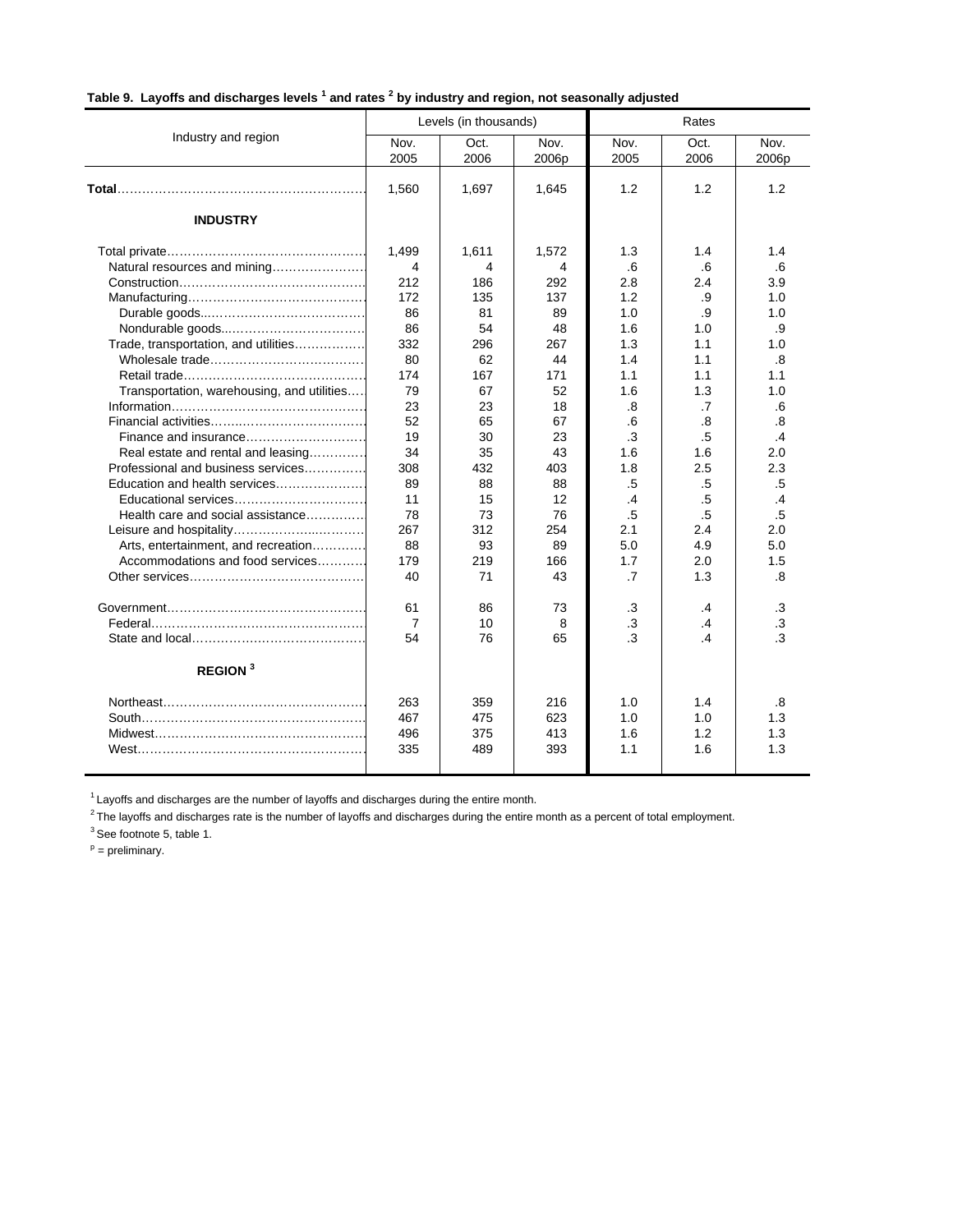|  | Table 9. Layoffs and discharges levels <sup>1</sup> and rates <sup>2</sup> by industry and region, not seasonally adjusted |  |  |  |
|--|----------------------------------------------------------------------------------------------------------------------------|--|--|--|
|--|----------------------------------------------------------------------------------------------------------------------------|--|--|--|

|                                            | Levels (in thousands) |              |               | Rates        |                |               |
|--------------------------------------------|-----------------------|--------------|---------------|--------------|----------------|---------------|
| Industry and region                        | Nov.<br>2005          | Oct.<br>2006 | Nov.<br>2006p | Nov.<br>2005 | Oct.<br>2006   | Nov.<br>2006p |
|                                            | 1,560                 | 1,697        | 1,645         | 1.2          | 1.2            | 1.2           |
| <b>INDUSTRY</b>                            |                       |              |               |              |                |               |
|                                            | 1,499                 | 1,611        | 1,572         | 1.3          | 1.4            | 1.4           |
| Natural resources and mining               | 4                     | 4            | 4             | .6           | .6             | .6            |
|                                            | 212                   | 186          | 292           | 2.8          | 2.4            | 3.9           |
|                                            | 172                   | 135          | 137           | 1.2          | .9             | 1.0           |
|                                            | 86                    | 81           | 89            | 1.0          | .9             | 1.0           |
|                                            | 86                    | 54           | 48            | 1.6          | 1.0            | .9            |
| Trade, transportation, and utilities       | 332                   | 296          | 267           | 1.3          | 1.1            | 1.0           |
|                                            | 80                    | 62           | 44            | 1.4          | 1.1            | .8            |
|                                            | 174                   | 167          | 171           | 1.1          | 1.1            | 1.1           |
| Transportation, warehousing, and utilities | 79                    | 67           | 52            | 1.6          | 1.3            | 1.0           |
|                                            | 23                    | 23           | 18            | .8           | .7             | .6            |
|                                            | 52                    | 65           | 67            | .6           | .8             | .8            |
| Finance and insurance                      | 19                    | 30           | 23            | .3           | .5             | .4            |
| Real estate and rental and leasing         | 34                    | 35           | 43            | 1.6          | 1.6            | 2.0           |
| Professional and business services         | 308                   | 432          | 403           | 1.8          | 2.5            | 2.3           |
| Education and health services              | 89                    | 88           | 88            | .5           | .5             | .5            |
| Educational services                       | 11                    | 15           | 12            | .4           | .5             | $\cdot$ 4     |
| Health care and social assistance          | 78                    | 73           | 76            | .5           | .5             | .5            |
|                                            | 267                   | 312          | 254           | 2.1          | 2.4            | 2.0           |
| Arts, entertainment, and recreation        | 88                    | 93           | 89            | 5.0          | 4.9            | 5.0           |
| Accommodations and food services           | 179                   | 219          | 166           | 1.7          | 2.0            | 1.5           |
|                                            | 40                    | 71           | 43            | .7           | 1.3            | .8            |
|                                            | 61                    | 86           | 73            | .3           | .4             | .3            |
|                                            | 7                     | 10           | 8             | .3           | .4             | .3            |
|                                            | 54                    | 76           | 65            | 3.           | $\overline{A}$ | $\cdot$ 3     |
| <b>REGION</b> <sup>3</sup>                 |                       |              |               |              |                |               |
|                                            | 263                   | 359          | 216           | 1.0          | 1.4            | .8            |
|                                            | 467                   | 475          | 623           | 1.0          | 1.0            | 1.3           |
|                                            | 496                   | 375          | 413           | 1.6          | 1.2            | 1.3           |
|                                            | 335                   | 489          | 393           | 1.1          | 1.6            | 1.3           |
|                                            |                       |              |               |              |                |               |

 $1$  Layoffs and discharges are the number of layoffs and discharges during the entire month.

 $2$ The layoffs and discharges rate is the number of layoffs and discharges during the entire month as a percent of total employment.

 $3$  See footnote 5, table 1.